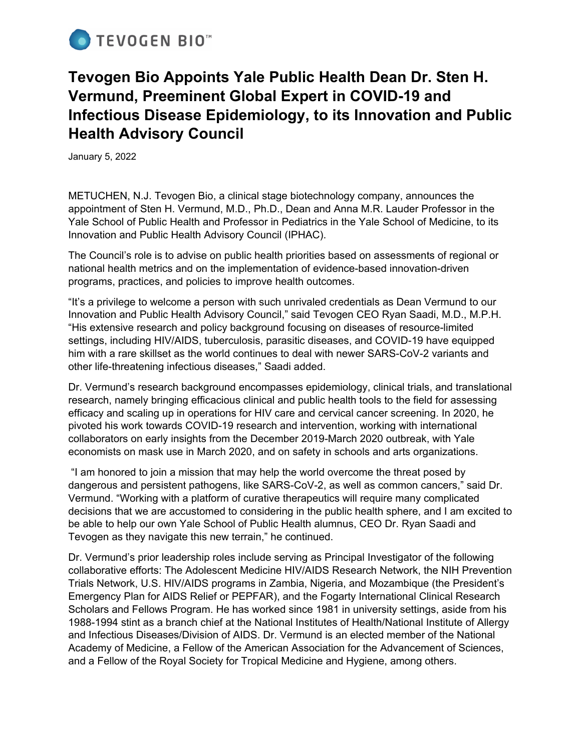

# **Tevogen Bio Appoints Yale Public Health Dean Dr. Sten H. Vermund, Preeminent Global Expert in COVID-19 and Infectious Disease Epidemiology, to its Innovation and Public Health Advisory Council**

January 5, 2022

METUCHEN, N.J. Tevogen Bio, a clinical stage biotechnology company, announces the appointment of Sten H. Vermund, M.D., Ph.D., Dean and Anna M.R. Lauder Professor in the Yale School of Public Health and Professor in Pediatrics in the Yale School of Medicine, to its Innovation and Public Health Advisory Council (IPHAC).

The Council's role is to advise on public health priorities based on assessments of regional or national health metrics and on the implementation of evidence-based innovation-driven programs, practices, and policies to improve health outcomes.

"It's a privilege to welcome a person with such unrivaled credentials as Dean Vermund to our Innovation and Public Health Advisory Council," said Tevogen CEO Ryan Saadi, M.D., M.P.H. "His extensive research and policy background focusing on diseases of resource-limited settings, including HIV/AIDS, tuberculosis, parasitic diseases, and COVID-19 have equipped him with a rare skillset as the world continues to deal with newer SARS-CoV-2 variants and other life-threatening infectious diseases," Saadi added.

Dr. Vermund's research background encompasses epidemiology, clinical trials, and translational research, namely bringing efficacious clinical and public health tools to the field for assessing efficacy and scaling up in operations for HIV care and cervical cancer screening. In 2020, he pivoted his work towards COVID-19 research and intervention, working with international collaborators on early insights from the December 2019-March 2020 outbreak, with Yale economists on mask use in March 2020, and on safety in schools and arts organizations.

"I am honored to join a mission that may help the world overcome the threat posed by dangerous and persistent pathogens, like SARS-CoV-2, as well as common cancers," said Dr. Vermund. "Working with a platform of curative therapeutics will require many complicated decisions that we are accustomed to considering in the public health sphere, and I am excited to be able to help our own Yale School of Public Health alumnus, CEO Dr. Ryan Saadi and Tevogen as they navigate this new terrain," he continued.

Dr. Vermund's prior leadership roles include serving as Principal Investigator of the following collaborative efforts: The Adolescent Medicine HIV/AIDS Research Network, the NIH Prevention Trials Network, U.S. HIV/AIDS programs in Zambia, Nigeria, and Mozambique (the President's Emergency Plan for AIDS Relief or PEPFAR), and the Fogarty International Clinical Research Scholars and Fellows Program. He has worked since 1981 in university settings, aside from his 1988-1994 stint as a branch chief at the National Institutes of Health/National Institute of Allergy and Infectious Diseases/Division of AIDS. Dr. Vermund is an elected member of the National Academy of Medicine, a Fellow of the American Association for the Advancement of Sciences, and a Fellow of the Royal Society for Tropical Medicine and Hygiene, among others.